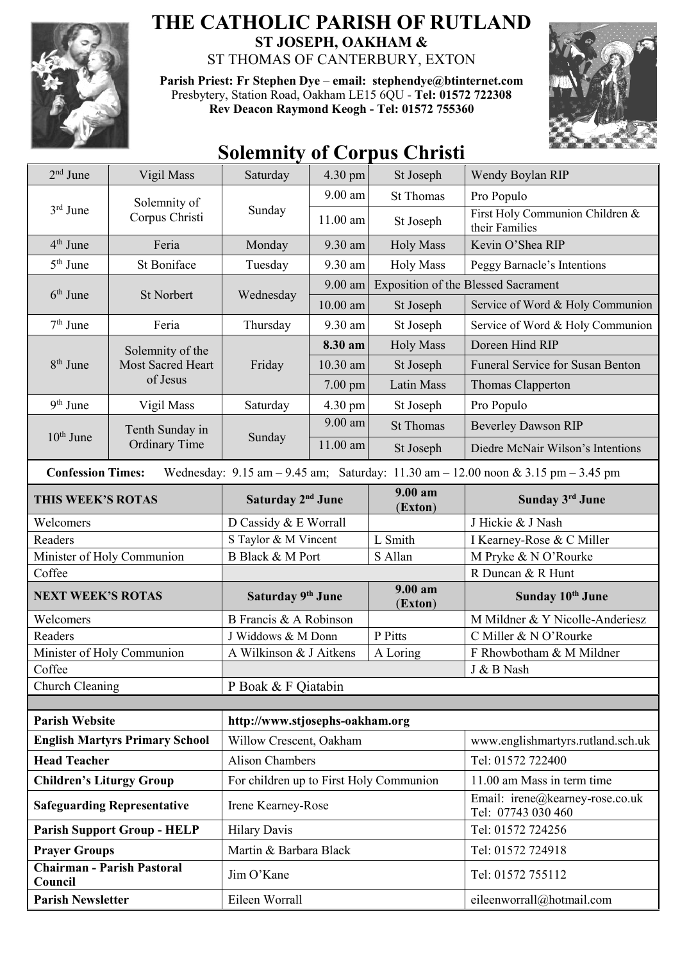

## **THE CATHOLIC PARISH OF RUTLAND ST JOSEPH, OAKHAM &**  ST THOMAS OF CANTERBURY, EXTON

**Parish Priest: Fr Stephen Dye** – **[email: stephendye@btinternet.com](mailto:email:%20%20stephendye@btinternet.com)** Presbytery, Station Road, Oakham LE15 6QU - **Tel: 01572 722308 Rev Deacon Raymond Keogh - Tel: 01572 755360**



## **Solemnity of Corpus Christi**

| $2nd$ June                                   | Vigil Mass                                                                                                    | Saturday                                | 4.30 pm    | St Joseph          | Wendy Boylan RIP                                      |  |  |
|----------------------------------------------|---------------------------------------------------------------------------------------------------------------|-----------------------------------------|------------|--------------------|-------------------------------------------------------|--|--|
| $3rd$ June                                   | Solemnity of<br>Corpus Christi                                                                                | Sunday                                  | $9.00$ am  | <b>St Thomas</b>   | Pro Populo                                            |  |  |
|                                              |                                                                                                               |                                         | 11.00 am   | St Joseph          | First Holy Communion Children &<br>their Families     |  |  |
| $4th$ June                                   | Feria                                                                                                         | Monday                                  | 9.30 am    | <b>Holy Mass</b>   | Kevin O'Shea RIP                                      |  |  |
| $5th$ June                                   | St Boniface                                                                                                   | Tuesday                                 | 9.30 am    | <b>Holy Mass</b>   | Peggy Barnacle's Intentions                           |  |  |
| $6th$ June                                   |                                                                                                               | Wednesday                               | 9.00 am    |                    | <b>Exposition of the Blessed Sacrament</b>            |  |  |
|                                              | <b>St Norbert</b>                                                                                             |                                         | $10.00$ am | St Joseph          | Service of Word & Holy Communion                      |  |  |
| $7th$ June                                   | Feria                                                                                                         | Thursday                                | 9.30 am    | St Joseph          | Service of Word & Holy Communion                      |  |  |
| $8th$ June                                   | Solemnity of the<br><b>Most Sacred Heart</b>                                                                  | Friday                                  | 8.30 am    | <b>Holy Mass</b>   | Doreen Hind RIP                                       |  |  |
|                                              |                                                                                                               |                                         | 10.30 am   | St Joseph          | Funeral Service for Susan Benton                      |  |  |
|                                              | of Jesus                                                                                                      |                                         | $7.00$ pm  | Latin Mass         | Thomas Clapperton                                     |  |  |
| $9th$ June                                   | Vigil Mass                                                                                                    | Saturday                                | 4.30 pm    | St Joseph          | Pro Populo                                            |  |  |
| $10th$ June                                  | Tenth Sunday in<br><b>Ordinary Time</b>                                                                       | Sunday                                  | $9.00$ am  | <b>St Thomas</b>   | <b>Beverley Dawson RIP</b>                            |  |  |
|                                              |                                                                                                               |                                         | 11.00 am   | St Joseph          | Diedre McNair Wilson's Intentions                     |  |  |
|                                              | <b>Confession Times:</b><br>Wednesday: 9.15 am - 9.45 am; Saturday: 11.30 am - 12.00 noon & 3.15 pm - 3.45 pm |                                         |            |                    |                                                       |  |  |
| THIS WEEK'S ROTAS                            |                                                                                                               | Saturday 2 <sup>nd</sup> June           |            | 9.00 am<br>(Exton) | Sunday 3rd June                                       |  |  |
| Welcomers                                    |                                                                                                               | D Cassidy & E Worrall                   |            |                    | J Hickie & J Nash                                     |  |  |
| Readers                                      |                                                                                                               | S Taylor & M Vincent                    |            | L Smith            | I Kearney-Rose & C Miller                             |  |  |
| Minister of Holy Communion                   |                                                                                                               | <b>B</b> Black & M Port                 |            | S Allan            | M Pryke & N O'Rourke                                  |  |  |
| Coffee                                       |                                                                                                               |                                         |            |                    | R Duncan & R Hunt                                     |  |  |
| <b>NEXT WEEK'S ROTAS</b>                     |                                                                                                               | Saturday 9th June                       |            | 9.00 am<br>(Exton) | Sunday 10 <sup>th</sup> June                          |  |  |
| Welcomers                                    |                                                                                                               | B Francis & A Robinson                  |            |                    | M Mildner & Y Nicolle-Anderiesz                       |  |  |
| Readers                                      |                                                                                                               | J Widdows & M Donn                      |            | P Pitts            | C Miller & N O'Rourke                                 |  |  |
| Minister of Holy Communion                   |                                                                                                               | A Wilkinson & J Aitkens                 |            | A Loring           | F Rhowbotham & M Mildner                              |  |  |
| Coffee                                       |                                                                                                               |                                         |            |                    | J & B Nash                                            |  |  |
| Church Cleaning                              |                                                                                                               | P Boak & F Qiatabin                     |            |                    |                                                       |  |  |
|                                              |                                                                                                               |                                         |            |                    |                                                       |  |  |
| <b>Parish Website</b>                        |                                                                                                               | http://www.stjosephs-oakham.org         |            |                    |                                                       |  |  |
| <b>English Martyrs Primary School</b>        |                                                                                                               | Willow Crescent, Oakham                 |            |                    | www.englishmartyrs.rutland.sch.uk                     |  |  |
| <b>Head Teacher</b>                          |                                                                                                               | <b>Alison Chambers</b>                  |            |                    | Tel: 01572 722400                                     |  |  |
| <b>Children's Liturgy Group</b>              |                                                                                                               | For children up to First Holy Communion |            |                    | 11.00 am Mass in term time                            |  |  |
| <b>Safeguarding Representative</b>           |                                                                                                               | Irene Kearney-Rose                      |            |                    | Email: irene@kearney-rose.co.uk<br>Tel: 07743 030 460 |  |  |
| <b>Parish Support Group - HELP</b>           |                                                                                                               | <b>Hilary Davis</b>                     |            |                    | Tel: 01572 724256                                     |  |  |
| <b>Prayer Groups</b>                         |                                                                                                               | Martin & Barbara Black                  |            |                    | Tel: 01572 724918                                     |  |  |
| <b>Chairman - Parish Pastoral</b><br>Council |                                                                                                               | Jim O'Kane                              |            |                    | Tel: 01572 755112                                     |  |  |
| <b>Parish Newsletter</b>                     |                                                                                                               | Eileen Worrall                          |            |                    | eileenworrall@hotmail.com                             |  |  |